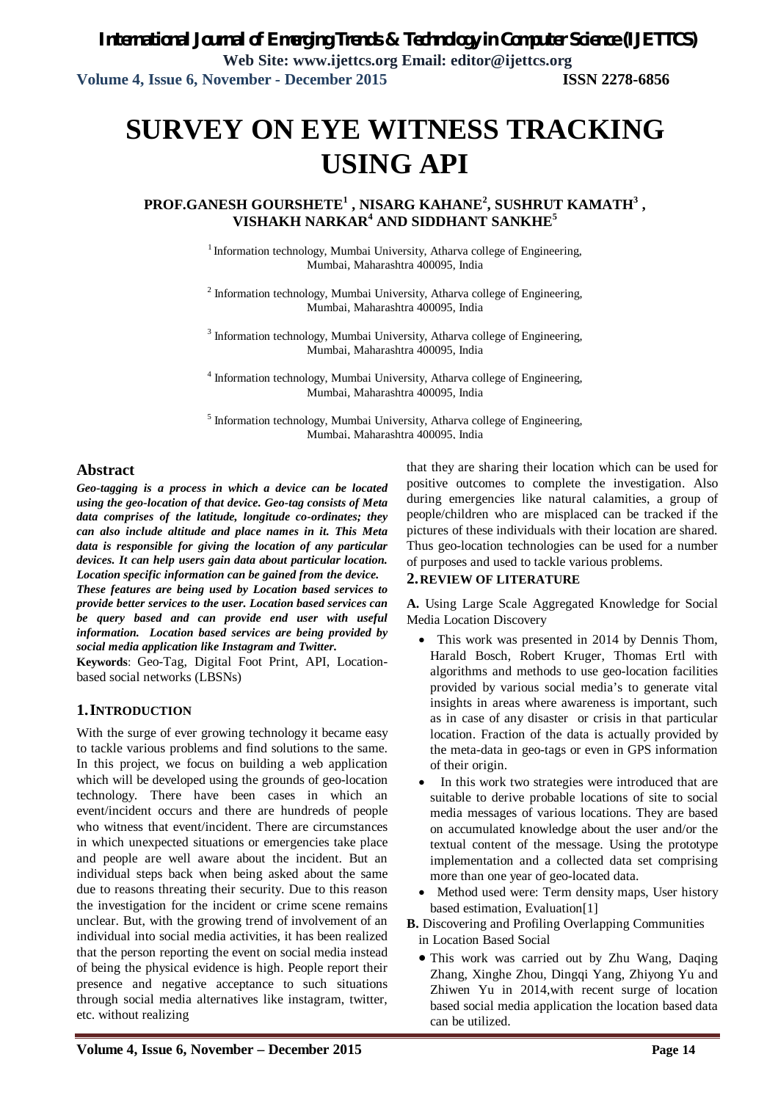# **SURVEY ON EYE WITNESS TRACKING USING API**

 $\mathbf{PROF.GANESH GOURSHETE}^{1}$  , NISARG KAHANE<sup>2</sup>, SUSHRUT KAMATH $^{3}$  , **VISHAKH NARKAR<sup>4</sup> AND SIDDHANT SANKHE<sup>5</sup>**

> <sup>1</sup> Information technology, Mumbai University, Atharva college of Engineering, Mumbai, Maharashtra 400095, India

> <sup>2</sup> Information technology, Mumbai University, Atharva college of Engineering, Mumbai, Maharashtra 400095, India

> <sup>3</sup> Information technology, Mumbai University, Atharva college of Engineering, Mumbai, Maharashtra 400095, India

> <sup>4</sup> Information technology, Mumbai University, Atharva college of Engineering, Mumbai, Maharashtra 400095, India

> <sup>5</sup> Information technology, Mumbai University, Atharva college of Engineering, Mumbai, Maharashtra 400095, India

#### **Abstract**

*Geo-tagging is a process in which a device can be located using the geo-location of that device. Geo-tag consists of Meta data comprises of the latitude, longitude co-ordinates; they can also include altitude and place names in it. This Meta data is responsible for giving the location of any particular devices. It can help users gain data about particular location. Location specific information can be gained from the device.* 

*These features are being used by Location based services to provide better services to the user. Location based services can be query based and can provide end user with useful information. Location based services are being provided by social media application like Instagram and Twitter.*

**Keywords**: Geo-Tag, Digital Foot Print, API, Locationbased social networks (LBSNs)

#### **1.INTRODUCTION**

With the surge of ever growing technology it became easy to tackle various problems and find solutions to the same. In this project, we focus on building a web application which will be developed using the grounds of geo-location technology. There have been cases in which an event/incident occurs and there are hundreds of people who witness that event/incident. There are circumstances in which unexpected situations or emergencies take place and people are well aware about the incident. But an individual steps back when being asked about the same due to reasons threating their security. Due to this reason the investigation for the incident or crime scene remains unclear. But, with the growing trend of involvement of an individual into social media activities, it has been realized that the person reporting the event on social media instead of being the physical evidence is high. People report their presence and negative acceptance to such situations through social media alternatives like instagram, twitter, etc. without realizing

that they are sharing their location which can be used for positive outcomes to complete the investigation. Also during emergencies like natural calamities, a group of people/children who are misplaced can be tracked if the pictures of these individuals with their location are shared. Thus geo-location technologies can be used for a number of purposes and used to tackle various problems.

#### **2.REVIEW OF LITERATURE**

**A.** Using Large Scale Aggregated Knowledge for Social Media Location Discovery

- This work was presented in 2014 by Dennis Thom, Harald Bosch, Robert Kruger, Thomas Ertl with algorithms and methods to use geo-location facilities provided by various social media's to generate vital insights in areas where awareness is important, such as in case of any disaster or crisis in that particular location. Fraction of the data is actually provided by the meta-data in geo-tags or even in GPS information of their origin.
- In this work two strategies were introduced that are suitable to derive probable locations of site to social media messages of various locations. They are based on accumulated knowledge about the user and/or the textual content of the message. Using the prototype implementation and a collected data set comprising more than one year of geo-located data.
- Method used were: Term density maps, User history based estimation, Evaluation[1]

**B.** Discovering and Profiling Overlapping Communities in Location Based Social

 This work was carried out by Zhu Wang, Daqing Zhang, Xinghe Zhou, Dingqi Yang, Zhiyong Yu and Zhiwen Yu in 2014,with recent surge of location based social media application the location based data can be utilized.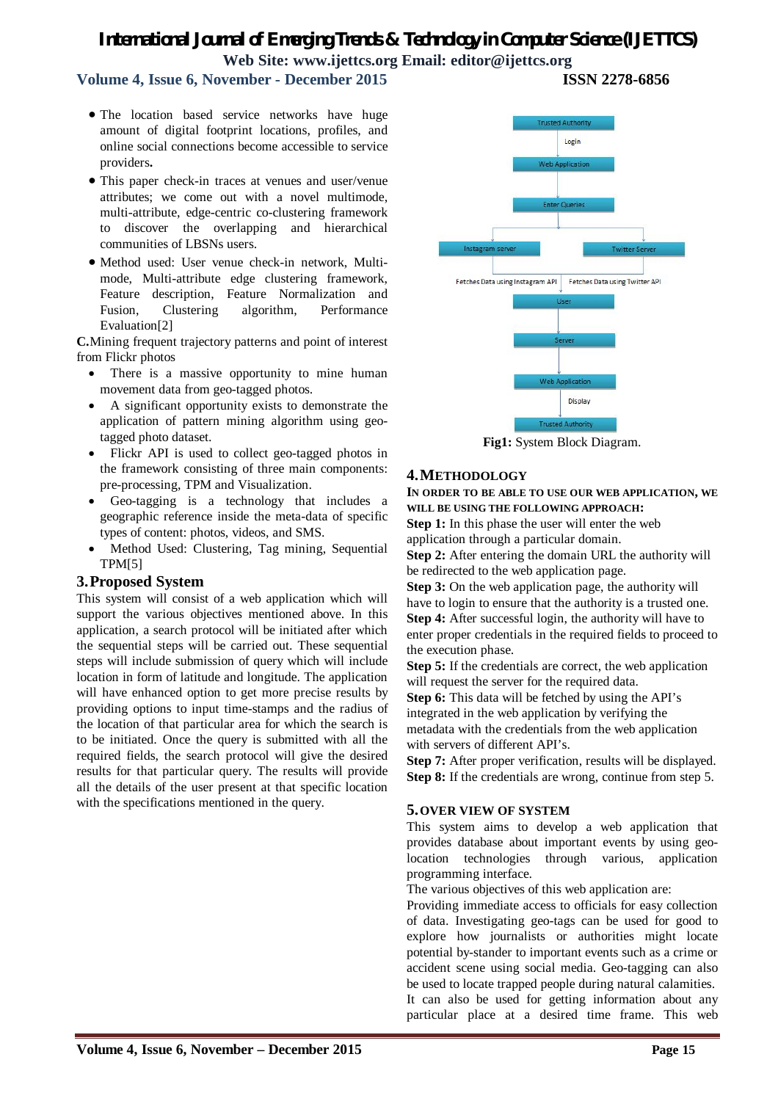## *International Journal of Emerging Trends & Technology in Computer Science (IJETTCS)* **Web Site: www.ijettcs.org Email: editor@ijettcs.org**

## **Volume 4, Issue 6, November - December 2015 ISSN 2278-6856**

- The location based service networks have huge amount of digital footprint locations, profiles, and online social connections become accessible to service providers**.**
- This paper check-in traces at venues and user/venue attributes; we come out with a novel multimode, multi-attribute, edge-centric co-clustering framework to discover the overlapping and hierarchical communities of LBSNs users.
- Method used: User venue check-in network, Multimode, Multi-attribute edge clustering framework, Feature description, Feature Normalization and Fusion, Clustering algorithm, Performance Evaluation[2]

**C.**Mining frequent trajectory patterns and point of interest from Flickr photos

- There is a massive opportunity to mine human movement data from geo-tagged photos.
- A significant opportunity exists to demonstrate the application of pattern mining algorithm using geotagged photo dataset.
- Flickr API is used to collect geo-tagged photos in the framework consisting of three main components: pre-processing, TPM and Visualization.
- Geo-tagging is a technology that includes a geographic reference inside the meta-data of specific types of content: photos, videos, and SMS.
- Method Used: Clustering, Tag mining, Sequential TPM[5]

#### **3.Proposed System**

This system will consist of a web application which will support the various objectives mentioned above. In this application, a search protocol will be initiated after which the sequential steps will be carried out. These sequential steps will include submission of query which will include location in form of latitude and longitude. The application will have enhanced option to get more precise results by providing options to input time-stamps and the radius of the location of that particular area for which the search is to be initiated. Once the query is submitted with all the required fields, the search protocol will give the desired results for that particular query. The results will provide all the details of the user present at that specific location with the specifications mentioned in the query.



**Fig1:** System Block Diagram.

#### **4.METHODOLOGY**

**IN ORDER TO BE ABLE TO USE OUR WEB APPLICATION, WE WILL BE USING THE FOLLOWING APPROACH:**

**Step 1:** In this phase the user will enter the web application through a particular domain.

**Step 2:** After entering the domain URL the authority will be redirected to the web application page.

**Step 3:** On the web application page, the authority will have to login to ensure that the authority is a trusted one. **Step 4:** After successful login, the authority will have to enter proper credentials in the required fields to proceed to the execution phase.

**Step 5:** If the credentials are correct, the web application will request the server for the required data.

**Step 6:** This data will be fetched by using the API's integrated in the web application by verifying the metadata with the credentials from the web application with servers of different API's.

**Step 7:** After proper verification, results will be displayed. **Step 8:** If the credentials are wrong, continue from step 5.

#### **5.OVER VIEW OF SYSTEM**

This system aims to develop a web application that provides database about important events by using geolocation technologies through various, application programming interface.

The various objectives of this web application are:

Providing immediate access to officials for easy collection of data. Investigating geo-tags can be used for good to explore how journalists or authorities might locate potential by-stander to important events such as a crime or accident scene using social media. Geo-tagging can also be used to locate trapped people during natural calamities. It can also be used for getting information about any particular place at a desired time frame. This web